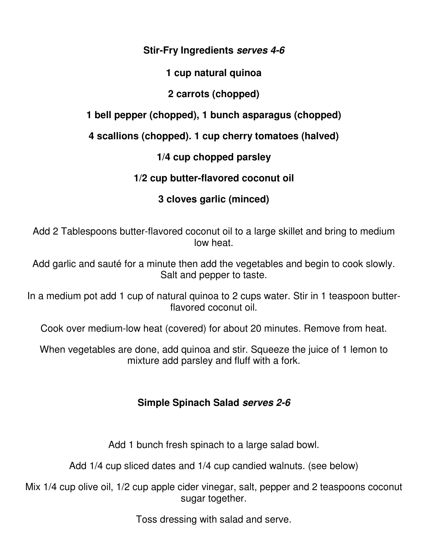#### **Stir-Fry Ingredients serves 4-6**

#### **1 cup natural quinoa**

## **2 carrots (chopped)**

**1 bell pepper (chopped), 1 bunch asparagus (chopped)**

**4 scallions (chopped). 1 cup cherry tomatoes (halved)**

**1/4 cup chopped parsley** 

**1/2 cup butter-flavored coconut oil** 

# **3 cloves garlic (minced)**

Add 2 Tablespoons butter-flavored coconut oil to a large skillet and bring to medium low heat.

Add garlic and sauté for a minute then add the vegetables and begin to cook slowly. Salt and pepper to taste.

In a medium pot add 1 cup of natural quinoa to 2 cups water. Stir in 1 teaspoon butterflavored coconut oil.

Cook over medium-low heat (covered) for about 20 minutes. Remove from heat.

When vegetables are done, add quinoa and stir. Squeeze the juice of 1 lemon to mixture add parsley and fluff with a fork.

### **Simple Spinach Salad serves 2-6**

Add 1 bunch fresh spinach to a large salad bowl.

Add 1/4 cup sliced dates and 1/4 cup candied walnuts. (see below)

Mix 1/4 cup olive oil, 1/2 cup apple cider vinegar, salt, pepper and 2 teaspoons coconut sugar together.

Toss dressing with salad and serve.